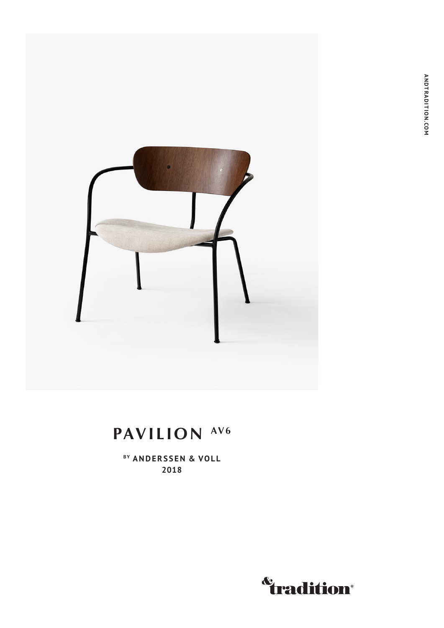

# **PAVILION AV6**

BY ANDERSSEN & VOLL **2018**

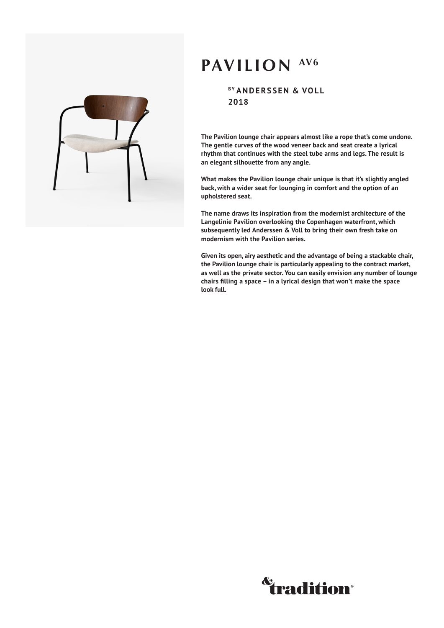## **PAVILION AV6**

**BY ANDERSSEN & VOLL 2018**

**The Pavilion lounge chair appears almost like a rope that's come undone. The gentle curves of the wood veneer back and seat create a lyrical rhythm that continues with the steel tube arms and legs. The result is an elegant silhouette from any angle.** 

**What makes the Pavilion lounge chair unique is that it's slightly angled back, with a wider seat for lounging in comfort and the option of an upholstered seat.**

**The name draws its inspiration from the modernist architecture of the Langelinie Pavilion overlooking the Copenhagen waterfront, which subsequently led Anderssen & Voll to bring their own fresh take on modernism with the Pavilion series.**

**Given its open, airy aesthetic and the advantage of being a stackable chair, the Pavilion lounge chair is particularly appealing to the contract market, as well as the private sector. You can easily envision any number of lounge chairs filling a space – in a lyrical design that won't make the space look full.**



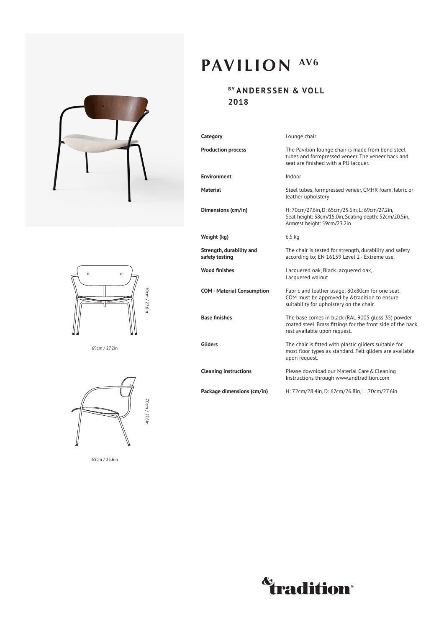



69cm / 27.2in



65cm / 25.6in

# **PAVILION AV6**

### **BY ANDERSSEN & VOLL 2018**

| Category                                   | Lounge chair                                                                                                                                      |
|--------------------------------------------|---------------------------------------------------------------------------------------------------------------------------------------------------|
| <b>Production process</b>                  | The Pavilion lounge chair is made from bend steel<br>tubes and formpressed veneer. The veneer back and<br>seat are finished with a PU lacquer.    |
| <b>Environment</b>                         | Indoor                                                                                                                                            |
| <b>Material</b>                            | Steel tubes, formpressed veneer, CMHR foam, fabric or<br>leather upholstery                                                                       |
| Dimensions (cm/in)                         | H: 70cm/27.6in, D: 65cm/25.6in, L: 69cm/27.2in,<br>Seat height: 38cm/15.0in, Seating depth: 52cm/20.5in,<br>Armrest height: 59cm/23.2in           |
| Weight (kg)                                | $6.5$ kg                                                                                                                                          |
| Strength, durability and<br>safety testing | The chair is tested for strength, durability and safety<br>according to; EN 16139 Level 2 - Extreme use.                                          |
| <b>Wood finishes</b>                       | Lacquered oak, Black lacquered oak,<br>Lacquered walnut                                                                                           |
| <b>COM - Material Consumption</b>          | Fabric and leather usage; 80x80cm for one seat.<br>COM must be approved by & tradition to ensure<br>suitability for upholstery on the chair.      |
| <b>Base finishes</b>                       | The base comes in black (RAL 9005 gloss 35) powder<br>coated steel. Brass fittings for the front side of the back<br>rest available upon request. |
| <b>Gliders</b>                             | The chair is fitted with plastic gliders suitable for<br>most floor types as standard. Felt gliders are available<br>upon request.                |
| <b>Cleaning instructions</b>               | Please download our Material Care & Cleaning<br>Instructions through www.andtradition.com                                                         |
| Package dimensions (cm/in)                 | H: 72cm/28,4in, D: 67cm/26.8in, L: 70cm/27.6in                                                                                                    |